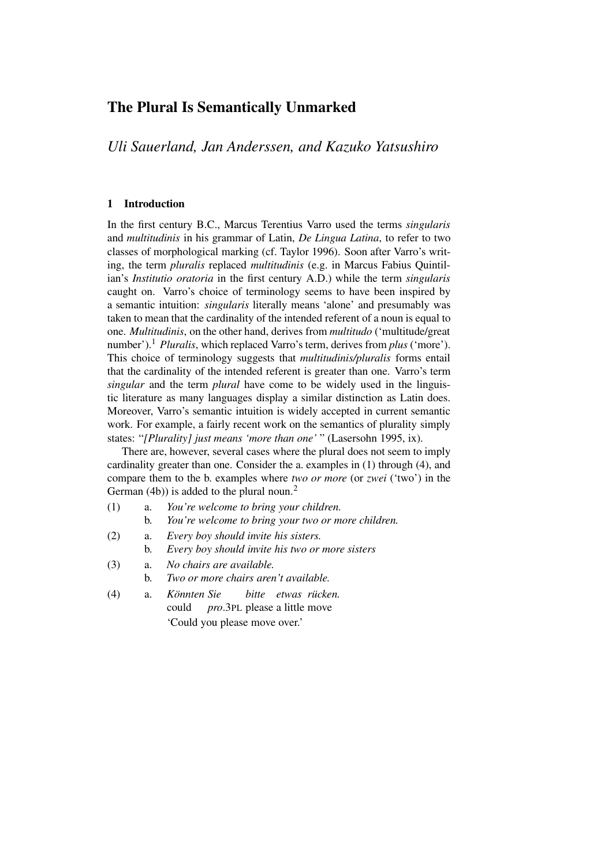# **The Plural Is Semantically Unmarked**

*Uli Sauerland, Jan Anderssen, and Kazuko Yatsushiro*

## **1 Introduction**

In the first century B.C., Marcus Terentius Varro used the terms *singularis* and *multitudinis* in his grammar of Latin, *De Lingua Latina*, to refer to two classes of morphological marking (cf. Taylor 1996). Soon after Varro's writing, the term *pluralis* replaced *multitudinis* (e.g. in Marcus Fabius Quintilian's *Institutio oratoria* in the first century A.D.) while the term *singularis* caught on. Varro's choice of terminology seems to have been inspired by a semantic intuition: *singularis* literally means 'alone' and presumably was taken to mean that the cardinality of the intended referent of a noun is equal to one. *Multitudinis*, on the other hand, derives from *multitudo* ('multitude/great number').<sup>1</sup> *Pluralis*, which replaced Varro's term, derives from *plus* ('more'). This choice of terminology suggests that *multitudinis/pluralis* forms entail that the cardinality of the intended referent is greater than one. Varro's term *singular* and the term *plural* have come to be widely used in the linguistic literature as many languages display a similar distinction as Latin does. Moreover, Varro's semantic intuition is widely accepted in current semantic work. For example, a fairly recent work on the semantics of plurality simply states: "*[Plurality] just means 'more than one'* " (Lasersohn 1995, ix).

There are, however, several cases where the plural does not seem to imply cardinality greater than one. Consider the a. examples in (1) through (4), and compare them to the b. examples where *two or more* (or *zwei* ('two') in the German  $(4b)$ ) is added to the plural noun.<sup>2</sup>

- (1) a. *You're welcome to bring your children.*
- b. *You're welcome to bring your two or more children.*
- (2) a. *Every boy should invite his sisters.*
	- b. *Every boy should invite his two or more sisters*
- (3) a. *No chairs are available.*
	- b. *Two or more chairs aren't available.*
- (4) a. *Könnten Sie* could *pro*.3PL please a little move *bitte etwas rücken.* 'Could you please move over.'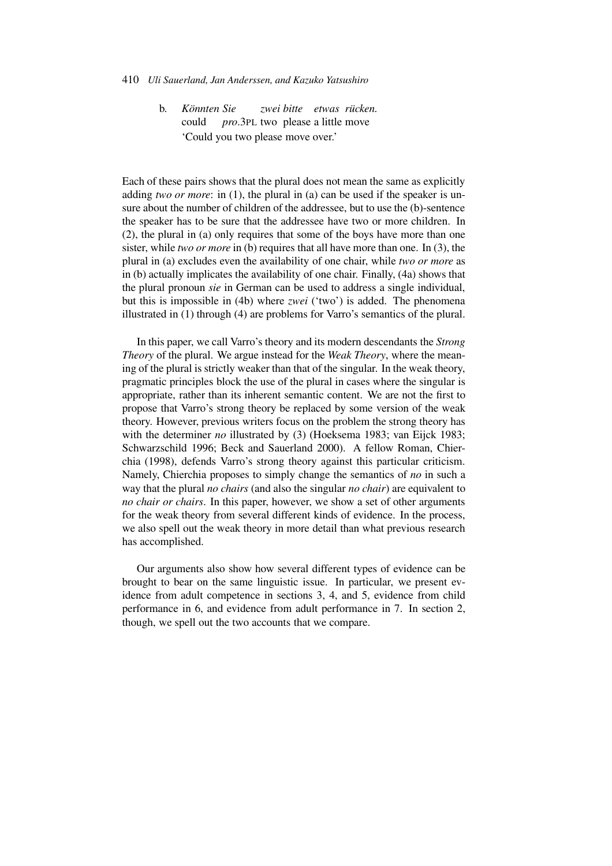b. *Könnten Sie* could *pro*.3PL two please a little move *zwei bitte etwas rücken.* 'Could you two please move over.'

Each of these pairs shows that the plural does not mean the same as explicitly adding *two or more*: in (1), the plural in (a) can be used if the speaker is unsure about the number of children of the addressee, but to use the (b)-sentence the speaker has to be sure that the addressee have two or more children. In (2), the plural in (a) only requires that some of the boys have more than one sister, while *two or more* in (b) requires that all have more than one. In (3), the plural in (a) excludes even the availability of one chair, while *two or more* as in (b) actually implicates the availability of one chair. Finally, (4a) shows that the plural pronoun *sie* in German can be used to address a single individual, but this is impossible in (4b) where *zwei* ('two') is added. The phenomena illustrated in (1) through (4) are problems for Varro's semantics of the plural.

In this paper, we call Varro's theory and its modern descendants the *Strong Theory* of the plural. We argue instead for the *Weak Theory*, where the meaning of the plural is strictly weaker than that of the singular. In the weak theory, pragmatic principles block the use of the plural in cases where the singular is appropriate, rather than its inherent semantic content. We are not the first to propose that Varro's strong theory be replaced by some version of the weak theory. However, previous writers focus on the problem the strong theory has with the determiner *no* illustrated by (3) (Hoeksema 1983; van Eijck 1983; Schwarzschild 1996; Beck and Sauerland 2000). A fellow Roman, Chierchia (1998), defends Varro's strong theory against this particular criticism. Namely, Chierchia proposes to simply change the semantics of *no* in such a way that the plural *no chairs* (and also the singular *no chair*) are equivalent to *no chair or chairs*. In this paper, however, we show a set of other arguments for the weak theory from several different kinds of evidence. In the process, we also spell out the weak theory in more detail than what previous research has accomplished.

Our arguments also show how several different types of evidence can be brought to bear on the same linguistic issue. In particular, we present evidence from adult competence in sections 3, 4, and 5, evidence from child performance in 6, and evidence from adult performance in 7. In section 2, though, we spell out the two accounts that we compare.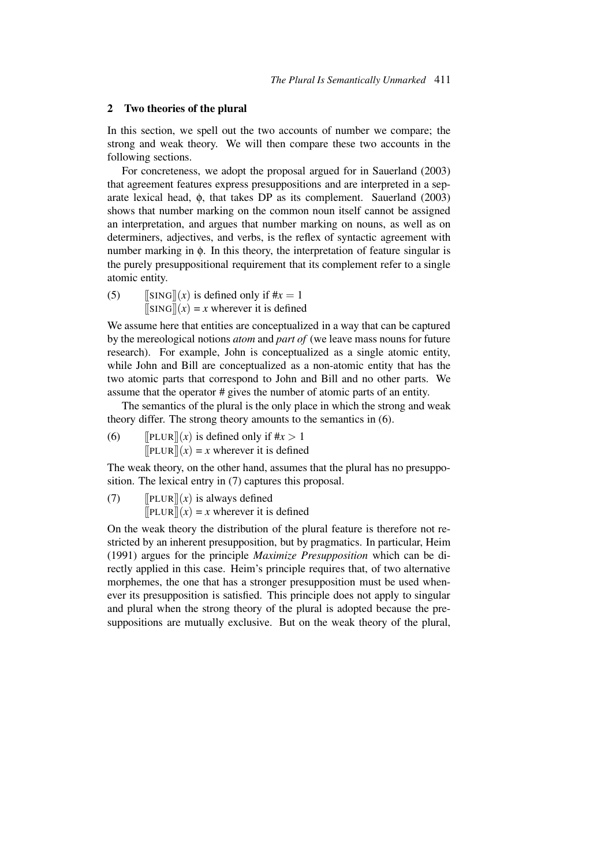### **2 Two theories of the plural**

In this section, we spell out the two accounts of number we compare; the strong and weak theory. We will then compare these two accounts in the following sections.

For concreteness, we adopt the proposal argued for in Sauerland (2003) that agreement features express presuppositions and are interpreted in a separate lexical head, φ, that takes DP as its complement. Sauerland (2003) shows that number marking on the common noun itself cannot be assigned an interpretation, and argues that number marking on nouns, as well as on determiners, adjectives, and verbs, is the reflex of syntactic agreement with number marking in φ. In this theory, the interpretation of feature singular is the purely presuppositional requirement that its complement refer to a single atomic entity.

(5)  $\left[\sin\left(\frac{x}{x}\right)\right]$  is defined only if  $\#x = 1$  $[\sin(G)](x) = x$  wherever it is defined

We assume here that entities are conceptualized in a way that can be captured by the mereological notions *atom* and *part of* (we leave mass nouns for future research). For example, John is conceptualized as a single atomic entity, while John and Bill are conceptualized as a non-atomic entity that has the two atomic parts that correspond to John and Bill and no other parts. We assume that the operator # gives the number of atomic parts of an entity.

The semantics of the plural is the only place in which the strong and weak theory differ. The strong theory amounts to the semantics in (6).

(6) [[PLUR]](*x*) is defined only if  $\#x > 1$  $[PLUR](x) = x$  wherever it is defined

The weak theory, on the other hand, assumes that the plural has no presupposition. The lexical entry in (7) captures this proposal.

(7)  $[PLUR](x)$  is always defined  $[PLUR](x) = x$  wherever it is defined

On the weak theory the distribution of the plural feature is therefore not restricted by an inherent presupposition, but by pragmatics. In particular, Heim (1991) argues for the principle *Maximize Presupposition* which can be directly applied in this case. Heim's principle requires that, of two alternative morphemes, the one that has a stronger presupposition must be used whenever its presupposition is satisfied. This principle does not apply to singular and plural when the strong theory of the plural is adopted because the presuppositions are mutually exclusive. But on the weak theory of the plural,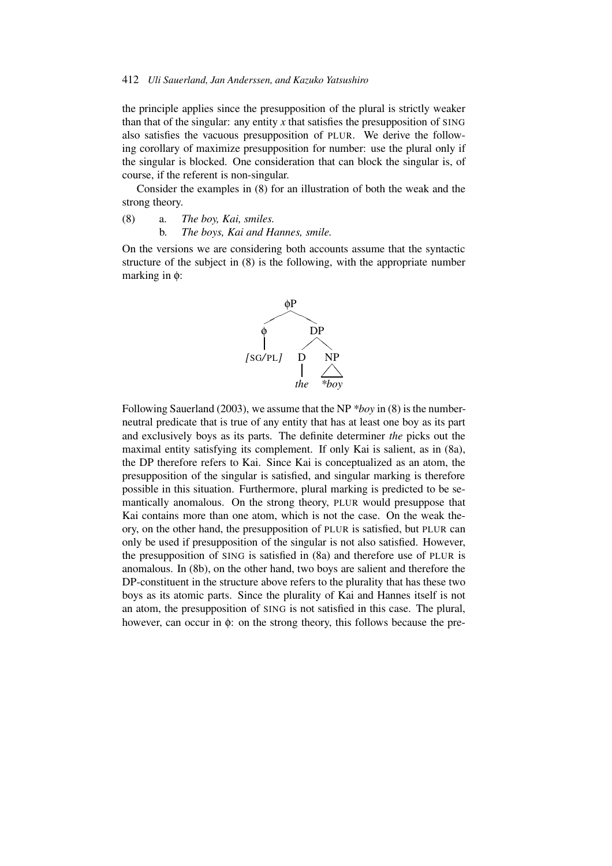the principle applies since the presupposition of the plural is strictly weaker than that of the singular: any entity  $x$  that satisfies the presupposition of SING also satisfies the vacuous presupposition of PLUR. We derive the following corollary of maximize presupposition for number: use the plural only if the singular is blocked. One consideration that can block the singular is, of course, if the referent is non-singular.

Consider the examples in (8) for an illustration of both the weak and the strong theory.

(8) a. *The boy, Kai, smiles.*

b. *The boys, Kai and Hannes, smile.*

On the versions we are considering both accounts assume that the syntactic structure of the subject in (8) is the following, with the appropriate number marking in φ:



Following Sauerland (2003), we assume that the NP *\*boy* in (8) is the numberneutral predicate that is true of any entity that has at least one boy as its part and exclusively boys as its parts. The definite determiner *the* picks out the maximal entity satisfying its complement. If only Kai is salient, as in (8a), the DP therefore refers to Kai. Since Kai is conceptualized as an atom, the presupposition of the singular is satisfied, and singular marking is therefore possible in this situation. Furthermore, plural marking is predicted to be semantically anomalous. On the strong theory, PLUR would presuppose that Kai contains more than one atom, which is not the case. On the weak theory, on the other hand, the presupposition of PLUR is satisfied, but PLUR can only be used if presupposition of the singular is not also satisfied. However, the presupposition of SING is satisfied in (8a) and therefore use of PLUR is anomalous. In (8b), on the other hand, two boys are salient and therefore the DP-constituent in the structure above refers to the plurality that has these two boys as its atomic parts. Since the plurality of Kai and Hannes itself is not an atom, the presupposition of SING is not satisfied in this case. The plural, however, can occur in φ: on the strong theory, this follows because the pre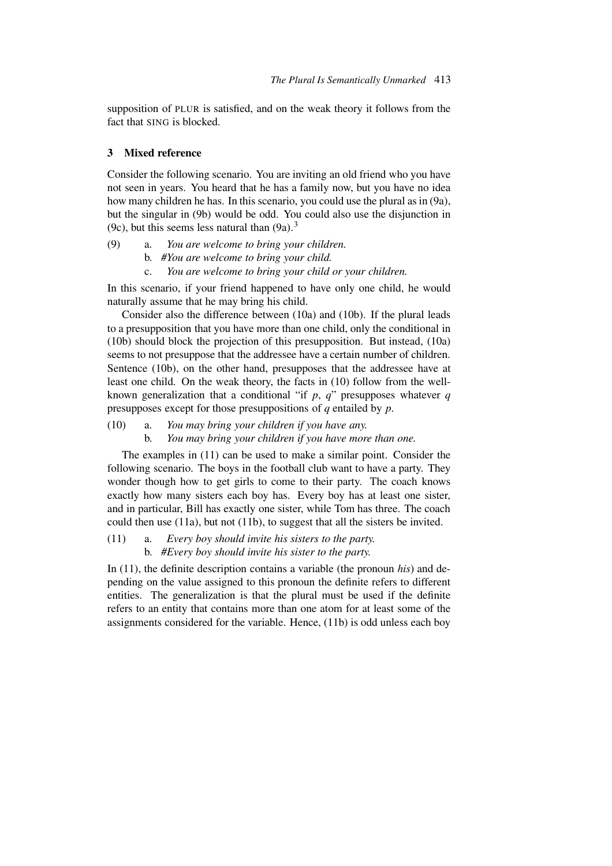supposition of PLUR is satisfied, and on the weak theory it follows from the fact that SING is blocked.

# **3 Mixed reference**

Consider the following scenario. You are inviting an old friend who you have not seen in years. You heard that he has a family now, but you have no idea how many children he has. In this scenario, you could use the plural as in (9a), but the singular in (9b) would be odd. You could also use the disjunction in  $(9c)$ , but this seems less natural than  $(9a)$ .<sup>3</sup>

- (9) a. *You are welcome to bring your children.* b. *#You are welcome to bring your child.*
	- c. *You are welcome to bring your child or your children.*

In this scenario, if your friend happened to have only one child, he would naturally assume that he may bring his child.

Consider also the difference between (10a) and (10b). If the plural leads to a presupposition that you have more than one child, only the conditional in (10b) should block the projection of this presupposition. But instead, (10a) seems to not presuppose that the addressee have a certain number of children. Sentence (10b), on the other hand, presupposes that the addressee have at least one child. On the weak theory, the facts in (10) follow from the wellknown generalization that a conditional "if *p*, *q*" presupposes whatever *q* presupposes except for those presuppositions of *q* entailed by *p*.

- (10) a. *You may bring your children if you have any.*
	- b. *You may bring your children if you have more than one.*

The examples in (11) can be used to make a similar point. Consider the following scenario. The boys in the football club want to have a party. They wonder though how to get girls to come to their party. The coach knows exactly how many sisters each boy has. Every boy has at least one sister, and in particular, Bill has exactly one sister, while Tom has three. The coach could then use (11a), but not (11b), to suggest that all the sisters be invited.

(11) a. *Every boy should invite his sisters to the party.* b. *#Every boy should invite his sister to the party.*

In (11), the definite description contains a variable (the pronoun *his*) and depending on the value assigned to this pronoun the definite refers to different entities. The generalization is that the plural must be used if the definite refers to an entity that contains more than one atom for at least some of the assignments considered for the variable. Hence, (11b) is odd unless each boy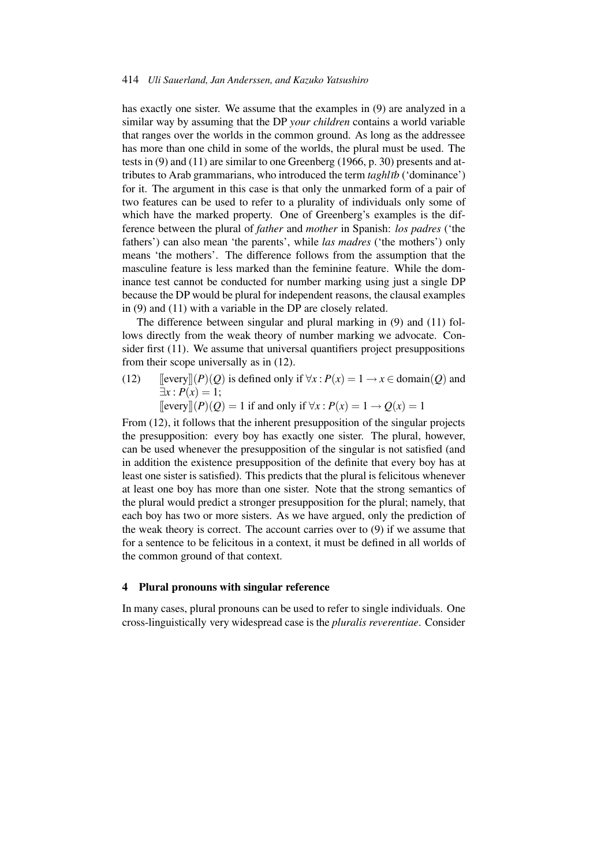has exactly one sister. We assume that the examples in (9) are analyzed in a similar way by assuming that the DP *your children* contains a world variable that ranges over the worlds in the common ground. As long as the addressee has more than one child in some of the worlds, the plural must be used. The tests in (9) and (11) are similar to one Greenberg (1966, p. 30) presents and attributes to Arab grammarians, who introduced the term *taghl¯ıb* ('dominance') for it. The argument in this case is that only the unmarked form of a pair of two features can be used to refer to a plurality of individuals only some of which have the marked property. One of Greenberg's examples is the difference between the plural of *father* and *mother* in Spanish: *los padres* ('the fathers') can also mean 'the parents', while *las madres* ('the mothers') only means 'the mothers'. The difference follows from the assumption that the masculine feature is less marked than the feminine feature. While the dominance test cannot be conducted for number marking using just a single DP because the DP would be plural for independent reasons, the clausal examples in (9) and (11) with a variable in the DP are closely related.

The difference between singular and plural marking in (9) and (11) follows directly from the weak theory of number marking we advocate. Consider first (11). We assume that universal quantifiers project presuppositions from their scope universally as in (12).

(12)  $[\text{every}](P)(Q)$  is defined only if  $\forall x : P(x) = 1 \rightarrow x \in \text{domain}(Q)$  and  $\exists x : P(x) = 1;$ 

[every] 
$$
(P)(Q) = 1
$$
 if and only if  $\forall x : P(x) = 1 \rightarrow Q(x) = 1$ 

From (12), it follows that the inherent presupposition of the singular projects the presupposition: every boy has exactly one sister. The plural, however, can be used whenever the presupposition of the singular is not satisfied (and in addition the existence presupposition of the definite that every boy has at least one sister is satisfied). This predicts that the plural is felicitous whenever at least one boy has more than one sister. Note that the strong semantics of the plural would predict a stronger presupposition for the plural; namely, that each boy has two or more sisters. As we have argued, only the prediction of the weak theory is correct. The account carries over to (9) if we assume that for a sentence to be felicitous in a context, it must be defined in all worlds of the common ground of that context.

### **4 Plural pronouns with singular reference**

In many cases, plural pronouns can be used to refer to single individuals. One cross-linguistically very widespread case is the *pluralis reverentiae*. Consider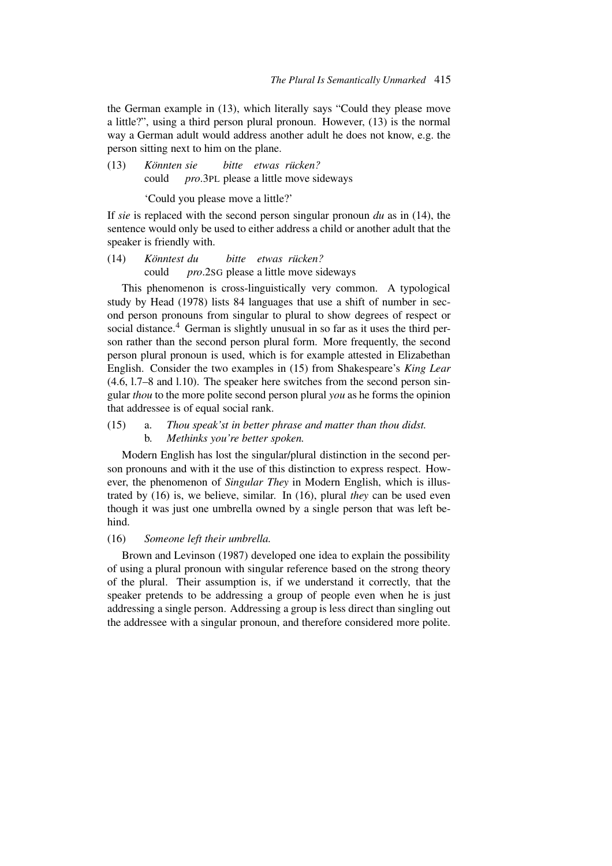the German example in (13), which literally says "Could they please move a little?", using a third person plural pronoun. However, (13) is the normal way a German adult would address another adult he does not know, e.g. the person sitting next to him on the plane.

(13) *Könnten sie* could *pro*.3PL please a little move sideways *bitte etwas rücken?*

'Could you please move a little?'

If *sie* is replaced with the second person singular pronoun *du* as in (14), the sentence would only be used to either address a child or another adult that the speaker is friendly with.

(14) *Könntest du* could *pro*.2SG please a little move sideways *bitte etwas rücken?*

This phenomenon is cross-linguistically very common. A typological study by Head (1978) lists 84 languages that use a shift of number in second person pronouns from singular to plural to show degrees of respect or social distance.<sup>4</sup> German is slightly unusual in so far as it uses the third person rather than the second person plural form. More frequently, the second person plural pronoun is used, which is for example attested in Elizabethan English. Consider the two examples in (15) from Shakespeare's *King Lear* (4.6, l.7–8 and l.10). The speaker here switches from the second person singular *thou* to the more polite second person plural *you* as he forms the opinion that addressee is of equal social rank.

(15) a. *Thou speak'st in better phrase and matter than thou didst.* b. *Methinks you're better spoken.*

Modern English has lost the singular/plural distinction in the second person pronouns and with it the use of this distinction to express respect. However, the phenomenon of *Singular They* in Modern English, which is illustrated by (16) is, we believe, similar. In (16), plural *they* can be used even though it was just one umbrella owned by a single person that was left behind.

# (16) *Someone left their umbrella.*

Brown and Levinson (1987) developed one idea to explain the possibility of using a plural pronoun with singular reference based on the strong theory of the plural. Their assumption is, if we understand it correctly, that the speaker pretends to be addressing a group of people even when he is just addressing a single person. Addressing a group is less direct than singling out the addressee with a singular pronoun, and therefore considered more polite.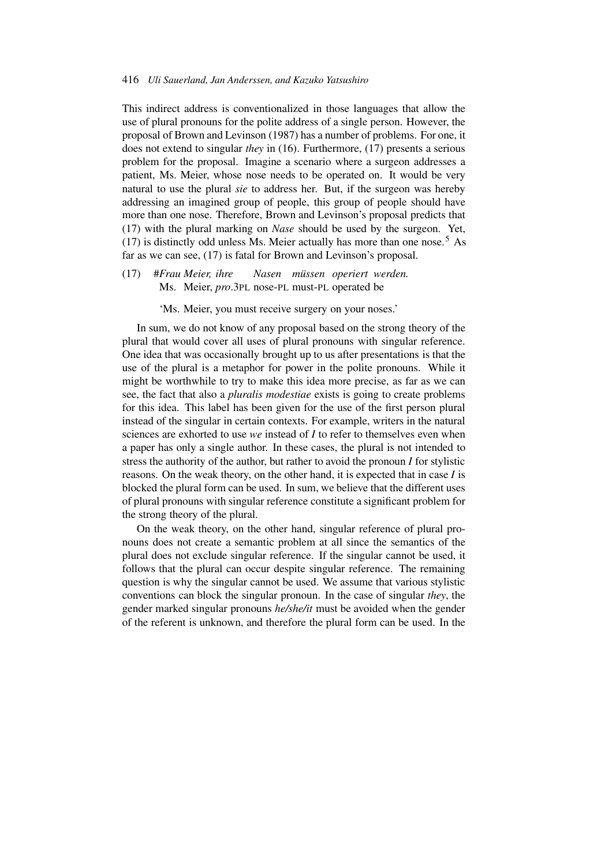This indirect address is conventionalized in those languages that allow the use of plural pronouns for the polite address of a single person. However, the proposal of Brown and Levinson (1987) has a number of problems. For one, it does not extend to singular *they* in (16). Furthermore, (17) presents a serious problem for the proposal. Imagine a scenario where a surgeon addresses a patient, Ms. Meier, whose nose needs to be operated on. It would be very natural to use the plural *sie* to address her. But, if the surgeon was hereby addressing an imagined group of people, this group of people should have more than one nose. Therefore, Brown and Levinson's proposal predicts that (17) with the plural marking on *Nase* should be used by the surgeon. Yet,  $(17)$  is distinctly odd unless Ms. Meier actually has more than one nose.<sup>5</sup> As far as we can see, (17) is fatal for Brown and Levinson's proposal.

(17) #*Frau Meier, ihre* Ms. Meier, *pro*.3PL nose-PL must-PL operated be *Nasen müssen operiert werden.*

'Ms. Meier, you must receive surgery on your noses.'

In sum, we do not know of any proposal based on the strong theory of the plural that would cover all uses of plural pronouns with singular reference. One idea that was occasionally brought up to us after presentations is that the use of the plural is a metaphor for power in the polite pronouns. While it might be worthwhile to try to make this idea more precise, as far as we can see, the fact that also a *pluralis modestiae* exists is going to create problems for this idea. This label has been given for the use of the first person plural instead of the singular in certain contexts. For example, writers in the natural sciences are exhorted to use *we* instead of *I* to refer to themselves even when a paper has only a single author. In these cases, the plural is not intended to stress the authority of the author, but rather to avoid the pronoun *I* for stylistic reasons. On the weak theory, on the other hand, it is expected that in case *I* is blocked the plural form can be used. In sum, we believe that the different uses of plural pronouns with singular reference constitute a significant problem for the strong theory of the plural.

On the weak theory, on the other hand, singular reference of plural pronouns does not create a semantic problem at all since the semantics of the plural does not exclude singular reference. If the singular cannot be used, it follows that the plural can occur despite singular reference. The remaining question is why the singular cannot be used. We assume that various stylistic conventions can block the singular pronoun. In the case of singular *they*, the gender marked singular pronouns *he/she/it* must be avoided when the gender of the referent is unknown, and therefore the plural form can be used. In the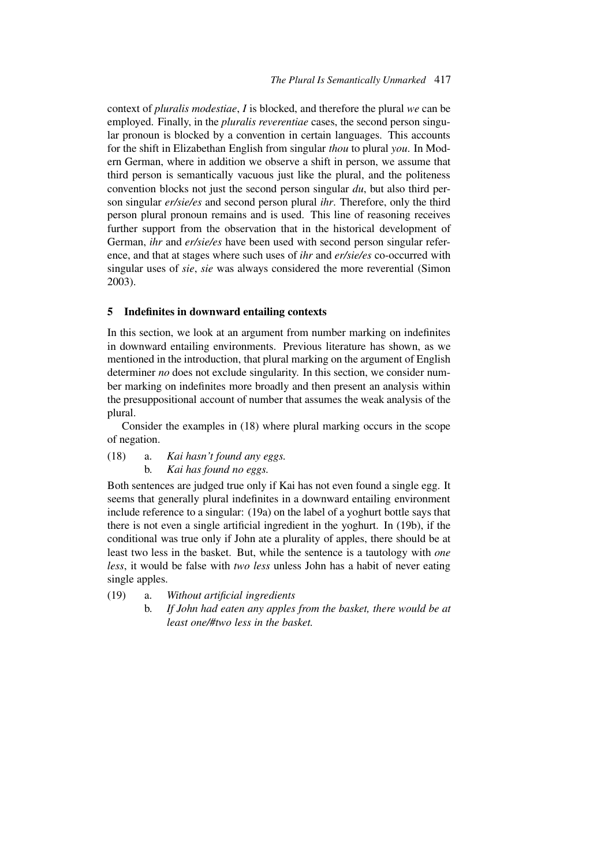context of *pluralis modestiae*, *I* is blocked, and therefore the plural *we* can be employed. Finally, in the *pluralis reverentiae* cases, the second person singular pronoun is blocked by a convention in certain languages. This accounts for the shift in Elizabethan English from singular *thou* to plural *you*. In Modern German, where in addition we observe a shift in person, we assume that third person is semantically vacuous just like the plural, and the politeness convention blocks not just the second person singular *du*, but also third person singular *er/sie/es* and second person plural *ihr*. Therefore, only the third person plural pronoun remains and is used. This line of reasoning receives further support from the observation that in the historical development of German, *ihr* and *er/sie/es* have been used with second person singular reference, and that at stages where such uses of *ihr* and *er/sie/es* co-occurred with singular uses of *sie*, *sie* was always considered the more reverential (Simon 2003).

### **5 Indefinites in downward entailing contexts**

In this section, we look at an argument from number marking on indefinites in downward entailing environments. Previous literature has shown, as we mentioned in the introduction, that plural marking on the argument of English determiner *no* does not exclude singularity. In this section, we consider number marking on indefinites more broadly and then present an analysis within the presuppositional account of number that assumes the weak analysis of the plural.

Consider the examples in (18) where plural marking occurs in the scope of negation.

(18) a. *Kai hasn't found any eggs.* b. *Kai has found no eggs.*

Both sentences are judged true only if Kai has not even found a single egg. It seems that generally plural indefinites in a downward entailing environment include reference to a singular: (19a) on the label of a yoghurt bottle says that there is not even a single artificial ingredient in the yoghurt. In (19b), if the conditional was true only if John ate a plurality of apples, there should be at least two less in the basket. But, while the sentence is a tautology with *one less*, it would be false with *two less* unless John has a habit of never eating single apples.

- (19) a. *Without artificial ingredients*
	- b. *If John had eaten any apples from the basket, there would be at least one/#two less in the basket.*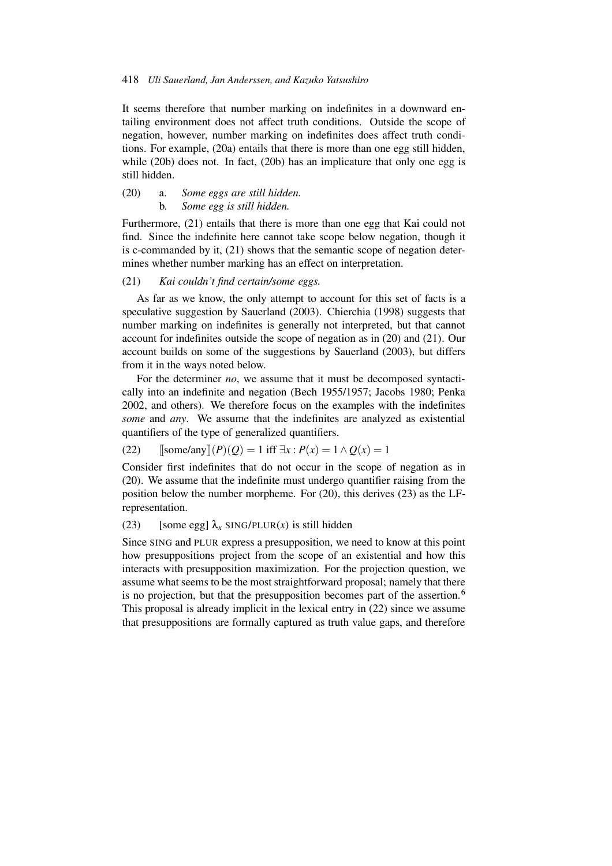It seems therefore that number marking on indefinites in a downward entailing environment does not affect truth conditions. Outside the scope of negation, however, number marking on indefinites does affect truth conditions. For example, (20a) entails that there is more than one egg still hidden, while (20b) does not. In fact, (20b) has an implicature that only one egg is still hidden.

### (20) a. *Some eggs are still hidden.* b. *Some egg is still hidden.*

Furthermore, (21) entails that there is more than one egg that Kai could not find. Since the indefinite here cannot take scope below negation, though it is c-commanded by it, (21) shows that the semantic scope of negation determines whether number marking has an effect on interpretation.

# (21) *Kai couldn't find certain/some eggs.*

As far as we know, the only attempt to account for this set of facts is a speculative suggestion by Sauerland (2003). Chierchia (1998) suggests that number marking on indefinites is generally not interpreted, but that cannot account for indefinites outside the scope of negation as in (20) and (21). Our account builds on some of the suggestions by Sauerland (2003), but differs from it in the ways noted below.

For the determiner *no*, we assume that it must be decomposed syntactically into an indefinite and negation (Bech 1955/1957; Jacobs 1980; Penka 2002, and others). We therefore focus on the examples with the indefinites *some* and *any*. We assume that the indefinites are analyzed as existential quantifiers of the type of generalized quantifiers.

(22) 
$$
[\text{some/any}](P)(Q) = 1 \text{ iff } \exists x : P(x) = 1 \land Q(x) = 1
$$

Consider first indefinites that do not occur in the scope of negation as in (20). We assume that the indefinite must undergo quantifier raising from the position below the number morpheme. For (20), this derives (23) as the LFrepresentation.

# (23) [some egg]  $\lambda_r$  SING/PLUR(*x*) is still hidden

Since SING and PLUR express a presupposition, we need to know at this point how presuppositions project from the scope of an existential and how this interacts with presupposition maximization. For the projection question, we assume what seems to be the most straightforward proposal; namely that there is no projection, but that the presupposition becomes part of the assertion.<sup>6</sup> This proposal is already implicit in the lexical entry in (22) since we assume that presuppositions are formally captured as truth value gaps, and therefore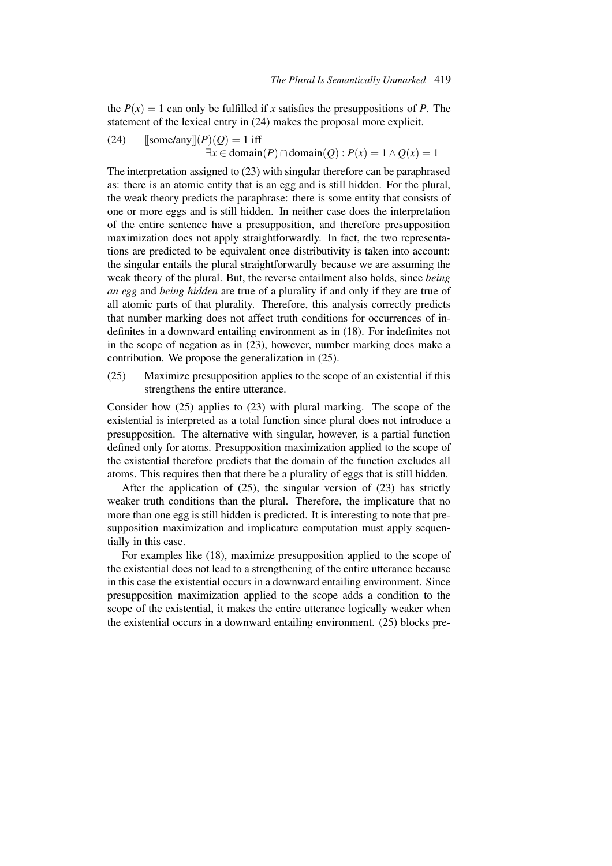the  $P(x) = 1$  can only be fulfilled if *x* satisfies the presuppositions of *P*. The statement of the lexical entry in (24) makes the proposal more explicit.

(24) 
$$
\text{[some/any]}(P)(Q) = 1 \text{ iff}
$$

$$
\exists x \in \text{domain}(P) \cap \text{domain}(Q) : P(x) = 1 \land Q(x) = 1
$$

The interpretation assigned to (23) with singular therefore can be paraphrased as: there is an atomic entity that is an egg and is still hidden. For the plural, the weak theory predicts the paraphrase: there is some entity that consists of one or more eggs and is still hidden. In neither case does the interpretation of the entire sentence have a presupposition, and therefore presupposition maximization does not apply straightforwardly. In fact, the two representations are predicted to be equivalent once distributivity is taken into account: the singular entails the plural straightforwardly because we are assuming the weak theory of the plural. But, the reverse entailment also holds, since *being an egg* and *being hidden* are true of a plurality if and only if they are true of all atomic parts of that plurality. Therefore, this analysis correctly predicts that number marking does not affect truth conditions for occurrences of indefinites in a downward entailing environment as in (18). For indefinites not in the scope of negation as in (23), however, number marking does make a contribution. We propose the generalization in (25).

(25) Maximize presupposition applies to the scope of an existential if this strengthens the entire utterance.

Consider how (25) applies to (23) with plural marking. The scope of the existential is interpreted as a total function since plural does not introduce a presupposition. The alternative with singular, however, is a partial function defined only for atoms. Presupposition maximization applied to the scope of the existential therefore predicts that the domain of the function excludes all atoms. This requires then that there be a plurality of eggs that is still hidden.

After the application of (25), the singular version of (23) has strictly weaker truth conditions than the plural. Therefore, the implicature that no more than one egg is still hidden is predicted. It is interesting to note that presupposition maximization and implicature computation must apply sequentially in this case.

For examples like (18), maximize presupposition applied to the scope of the existential does not lead to a strengthening of the entire utterance because in this case the existential occurs in a downward entailing environment. Since presupposition maximization applied to the scope adds a condition to the scope of the existential, it makes the entire utterance logically weaker when the existential occurs in a downward entailing environment. (25) blocks pre-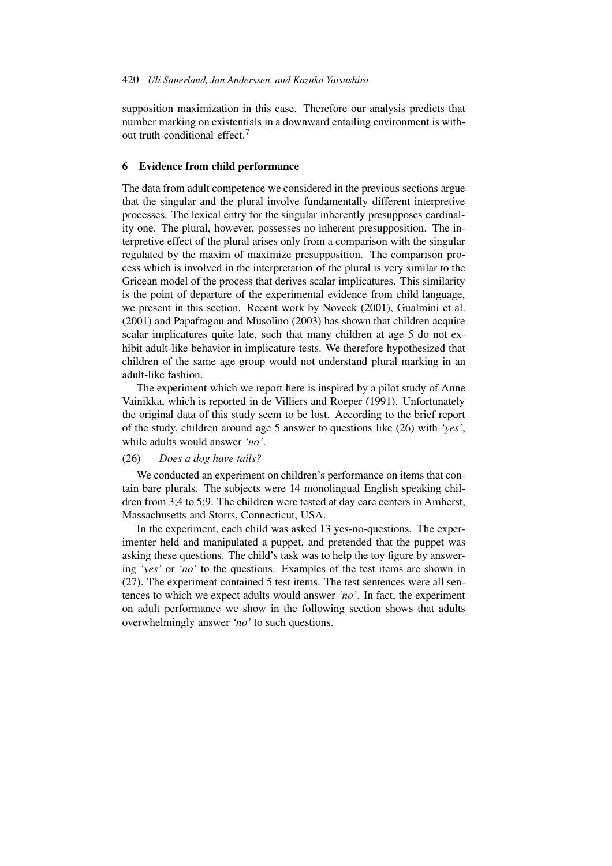supposition maximization in this case. Therefore our analysis predicts that number marking on existentials in a downward entailing environment is without truth-conditional effect.<sup>7</sup>

### **6 Evidence from child performance**

The data from adult competence we considered in the previous sections argue that the singular and the plural involve fundamentally different interpretive processes. The lexical entry for the singular inherently presupposes cardinality one. The plural, however, possesses no inherent presupposition. The interpretive effect of the plural arises only from a comparison with the singular regulated by the maxim of maximize presupposition. The comparison process which is involved in the interpretation of the plural is very similar to the Gricean model of the process that derives scalar implicatures. This similarity is the point of departure of the experimental evidence from child language, we present in this section. Recent work by Noveck (2001), Gualmini et al. (2001) and Papafragou and Musolino (2003) has shown that children acquire scalar implicatures quite late, such that many children at age 5 do not exhibit adult-like behavior in implicature tests. We therefore hypothesized that children of the same age group would not understand plural marking in an adult-like fashion.

The experiment which we report here is inspired by a pilot study of Anne Vainikka, which is reported in de Villiers and Roeper (1991). Unfortunately the original data of this study seem to be lost. According to the brief report of the study, children around age 5 answer to questions like (26) with *'yes'*, while adults would answer *'no'*.

# (26) *Does a dog have tails?*

We conducted an experiment on children's performance on items that contain bare plurals. The subjects were 14 monolingual English speaking children from 3;4 to 5;9. The children were tested at day care centers in Amherst, Massachusetts and Storrs, Connecticut, USA.

In the experiment, each child was asked 13 yes-no-questions. The experimenter held and manipulated a puppet, and pretended that the puppet was asking these questions. The child's task was to help the toy figure by answering *'yes'* or *'no'* to the questions. Examples of the test items are shown in (27). The experiment contained 5 test items. The test sentences were all sentences to which we expect adults would answer *'no'*. In fact, the experiment on adult performance we show in the following section shows that adults overwhelmingly answer *'no'* to such questions.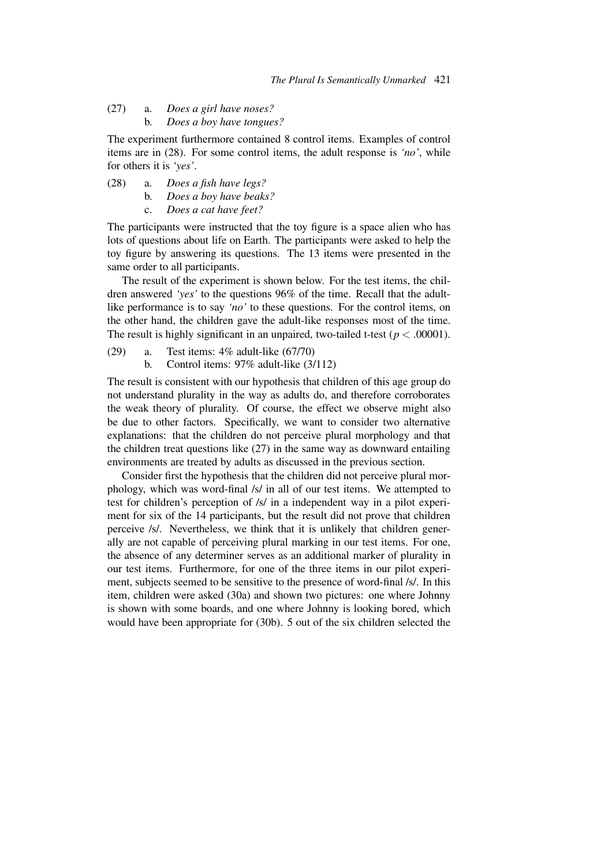(27) a. *Does a girl have noses?* b. *Does a boy have tongues?*

The experiment furthermore contained 8 control items. Examples of control items are in (28). For some control items, the adult response is *'no'*, while for others it is *'yes'*.

- (28) a. *Does a fish have legs?*
	- b. *Does a boy have beaks?*
	- c. *Does a cat have feet?*

The participants were instructed that the toy figure is a space alien who has lots of questions about life on Earth. The participants were asked to help the toy figure by answering its questions. The 13 items were presented in the same order to all participants.

The result of the experiment is shown below. For the test items, the children answered *'yes'* to the questions 96% of the time. Recall that the adultlike performance is to say *'no'* to these questions. For the control items, on the other hand, the children gave the adult-like responses most of the time. The result is highly significant in an unpaired, two-tailed t-test ( $p < .00001$ ).

- (29) a. Test items: 4% adult-like (67/70)
	- b. Control items: 97% adult-like (3/112)

The result is consistent with our hypothesis that children of this age group do not understand plurality in the way as adults do, and therefore corroborates the weak theory of plurality. Of course, the effect we observe might also be due to other factors. Specifically, we want to consider two alternative explanations: that the children do not perceive plural morphology and that the children treat questions like (27) in the same way as downward entailing environments are treated by adults as discussed in the previous section.

Consider first the hypothesis that the children did not perceive plural morphology, which was word-final /s/ in all of our test items. We attempted to test for children's perception of /s/ in a independent way in a pilot experiment for six of the 14 participants, but the result did not prove that children perceive /s/. Nevertheless, we think that it is unlikely that children generally are not capable of perceiving plural marking in our test items. For one, the absence of any determiner serves as an additional marker of plurality in our test items. Furthermore, for one of the three items in our pilot experiment, subjects seemed to be sensitive to the presence of word-final /s/. In this item, children were asked (30a) and shown two pictures: one where Johnny is shown with some boards, and one where Johnny is looking bored, which would have been appropriate for (30b). 5 out of the six children selected the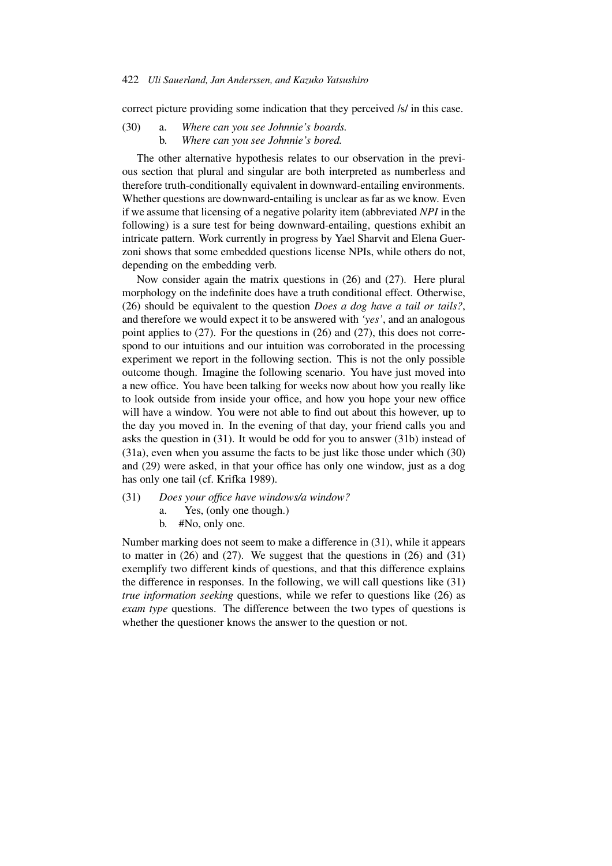correct picture providing some indication that they perceived /s/ in this case.

(30) a. *Where can you see Johnnie's boards.* b. *Where can you see Johnnie's bored.*

The other alternative hypothesis relates to our observation in the previous section that plural and singular are both interpreted as numberless and therefore truth-conditionally equivalent in downward-entailing environments. Whether questions are downward-entailing is unclear as far as we know. Even if we assume that licensing of a negative polarity item (abbreviated *NPI* in the following) is a sure test for being downward-entailing, questions exhibit an intricate pattern. Work currently in progress by Yael Sharvit and Elena Guerzoni shows that some embedded questions license NPIs, while others do not, depending on the embedding verb.

Now consider again the matrix questions in (26) and (27). Here plural morphology on the indefinite does have a truth conditional effect. Otherwise, (26) should be equivalent to the question *Does a dog have a tail or tails?*, and therefore we would expect it to be answered with *'yes'*, and an analogous point applies to (27). For the questions in (26) and (27), this does not correspond to our intuitions and our intuition was corroborated in the processing experiment we report in the following section. This is not the only possible outcome though. Imagine the following scenario. You have just moved into a new office. You have been talking for weeks now about how you really like to look outside from inside your office, and how you hope your new office will have a window. You were not able to find out about this however, up to the day you moved in. In the evening of that day, your friend calls you and asks the question in (31). It would be odd for you to answer (31b) instead of (31a), even when you assume the facts to be just like those under which (30) and (29) were asked, in that your office has only one window, just as a dog has only one tail (cf. Krifka 1989).

- (31) *Does your office have windows/a window?*
	- a. Yes, (only one though.)
	- b. #No, only one.

Number marking does not seem to make a difference in (31), while it appears to matter in (26) and (27). We suggest that the questions in (26) and (31) exemplify two different kinds of questions, and that this difference explains the difference in responses. In the following, we will call questions like (31) *true information seeking* questions, while we refer to questions like (26) as *exam type* questions. The difference between the two types of questions is whether the questioner knows the answer to the question or not.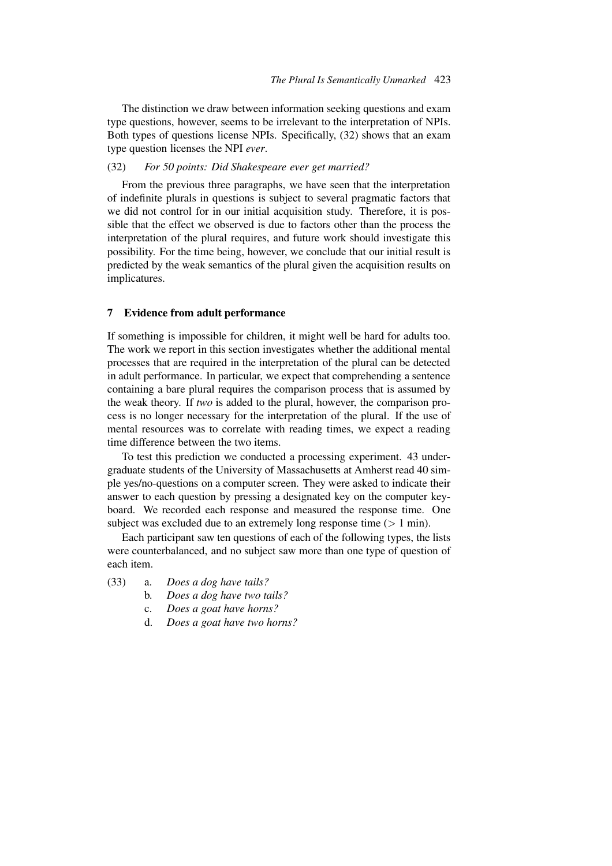The distinction we draw between information seeking questions and exam type questions, however, seems to be irrelevant to the interpretation of NPIs. Both types of questions license NPIs. Specifically, (32) shows that an exam type question licenses the NPI *ever*.

# (32) *For 50 points: Did Shakespeare ever get married?*

From the previous three paragraphs, we have seen that the interpretation of indefinite plurals in questions is subject to several pragmatic factors that we did not control for in our initial acquisition study. Therefore, it is possible that the effect we observed is due to factors other than the process the interpretation of the plural requires, and future work should investigate this possibility. For the time being, however, we conclude that our initial result is predicted by the weak semantics of the plural given the acquisition results on implicatures.

### **7 Evidence from adult performance**

If something is impossible for children, it might well be hard for adults too. The work we report in this section investigates whether the additional mental processes that are required in the interpretation of the plural can be detected in adult performance. In particular, we expect that comprehending a sentence containing a bare plural requires the comparison process that is assumed by the weak theory. If *two* is added to the plural, however, the comparison process is no longer necessary for the interpretation of the plural. If the use of mental resources was to correlate with reading times, we expect a reading time difference between the two items.

To test this prediction we conducted a processing experiment. 43 undergraduate students of the University of Massachusetts at Amherst read 40 simple yes/no-questions on a computer screen. They were asked to indicate their answer to each question by pressing a designated key on the computer keyboard. We recorded each response and measured the response time. One subject was excluded due to an extremely long response time  $(1 min)$ .

Each participant saw ten questions of each of the following types, the lists were counterbalanced, and no subject saw more than one type of question of each item.

- (33) a. *Does a dog have tails?*
	- b. *Does a dog have two tails?*
	- c. *Does a goat have horns?*
	- d. *Does a goat have two horns?*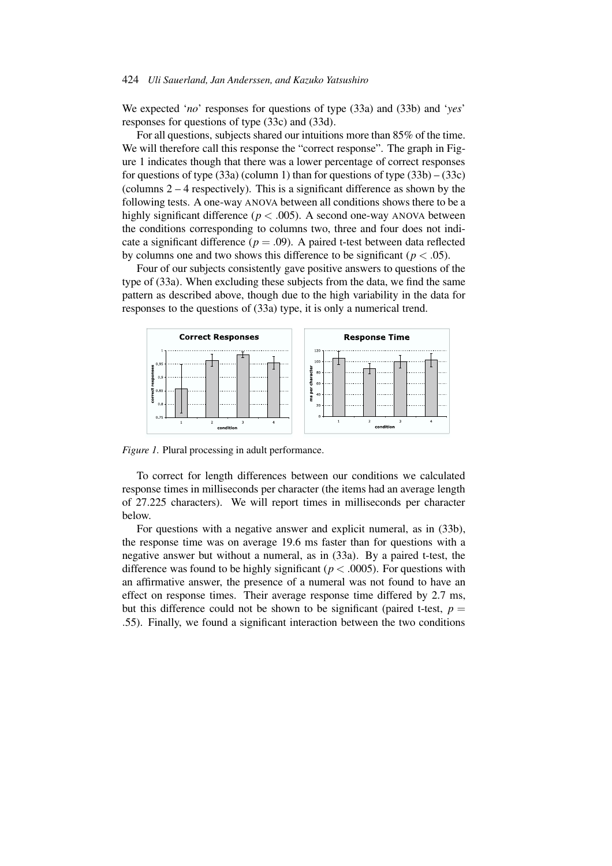We expected '*no*' responses for questions of type (33a) and (33b) and '*yes*' responses for questions of type (33c) and (33d).

For all questions, subjects shared our intuitions more than 85% of the time. We will therefore call this response the "correct response". The graph in Figure 1 indicates though that there was a lower percentage of correct responses for questions of type  $(33a)$  (column 1) than for questions of type  $(33b) - (33c)$ (columns 2 – 4 respectively). This is a significant difference as shown by the following tests. A one-way ANOVA between all conditions shows there to be a highly significant difference ( $p < .005$ ). A second one-way ANOVA between the conditions corresponding to columns two, three and four does not indicate a significant difference ( $p = .09$ ). A paired t-test between data reflected by columns one and two shows this difference to be significant ( $p < .05$ ).

Four of our subjects consistently gave positive answers to questions of the type of (33a). When excluding these subjects from the data, we find the same pattern as described above, though due to the high variability in the data for responses to the questions of (33a) type, it is only a numerical trend.



*Figure 1.* Plural processing in adult performance.

To correct for length differences between our conditions we calculated response times in milliseconds per character (the items had an average length of 27.225 characters). We will report times in milliseconds per character below.

For questions with a negative answer and explicit numeral, as in (33b), the response time was on average 19.6 ms faster than for questions with a negative answer but without a numeral, as in (33a). By a paired t-test, the difference was found to be highly significant ( $p < .0005$ ). For questions with an affirmative answer, the presence of a numeral was not found to have an effect on response times. Their average response time differed by 2.7 ms, but this difference could not be shown to be significant (paired t-test,  $p =$ .55). Finally, we found a significant interaction between the two conditions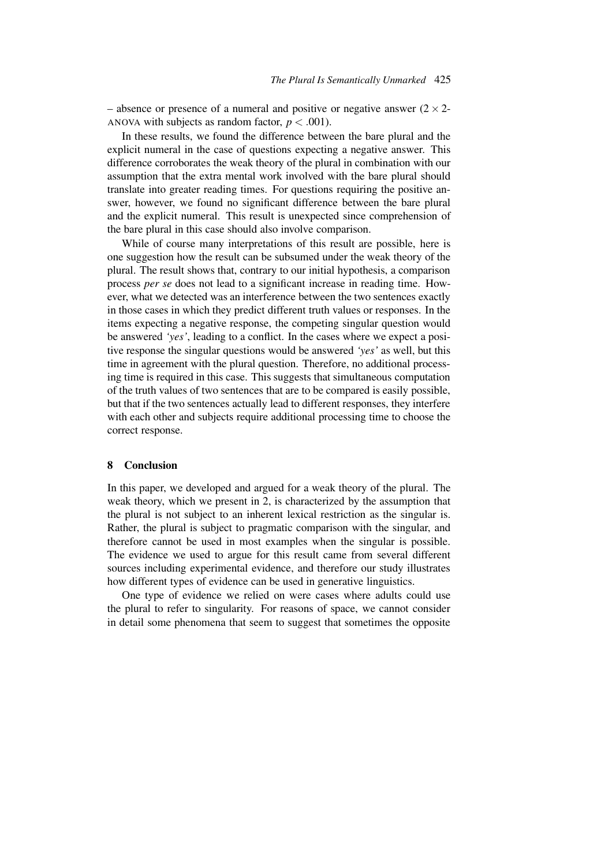– absence or presence of a numeral and positive or negative answer  $(2 \times 2$ -ANOVA with subjects as random factor,  $p < .001$ ).

In these results, we found the difference between the bare plural and the explicit numeral in the case of questions expecting a negative answer. This difference corroborates the weak theory of the plural in combination with our assumption that the extra mental work involved with the bare plural should translate into greater reading times. For questions requiring the positive answer, however, we found no significant difference between the bare plural and the explicit numeral. This result is unexpected since comprehension of the bare plural in this case should also involve comparison.

While of course many interpretations of this result are possible, here is one suggestion how the result can be subsumed under the weak theory of the plural. The result shows that, contrary to our initial hypothesis, a comparison process *per se* does not lead to a significant increase in reading time. However, what we detected was an interference between the two sentences exactly in those cases in which they predict different truth values or responses. In the items expecting a negative response, the competing singular question would be answered *'yes'*, leading to a conflict. In the cases where we expect a positive response the singular questions would be answered *'yes'* as well, but this time in agreement with the plural question. Therefore, no additional processing time is required in this case. This suggests that simultaneous computation of the truth values of two sentences that are to be compared is easily possible, but that if the two sentences actually lead to different responses, they interfere with each other and subjects require additional processing time to choose the correct response.

# **8 Conclusion**

In this paper, we developed and argued for a weak theory of the plural. The weak theory, which we present in 2, is characterized by the assumption that the plural is not subject to an inherent lexical restriction as the singular is. Rather, the plural is subject to pragmatic comparison with the singular, and therefore cannot be used in most examples when the singular is possible. The evidence we used to argue for this result came from several different sources including experimental evidence, and therefore our study illustrates how different types of evidence can be used in generative linguistics.

One type of evidence we relied on were cases where adults could use the plural to refer to singularity. For reasons of space, we cannot consider in detail some phenomena that seem to suggest that sometimes the opposite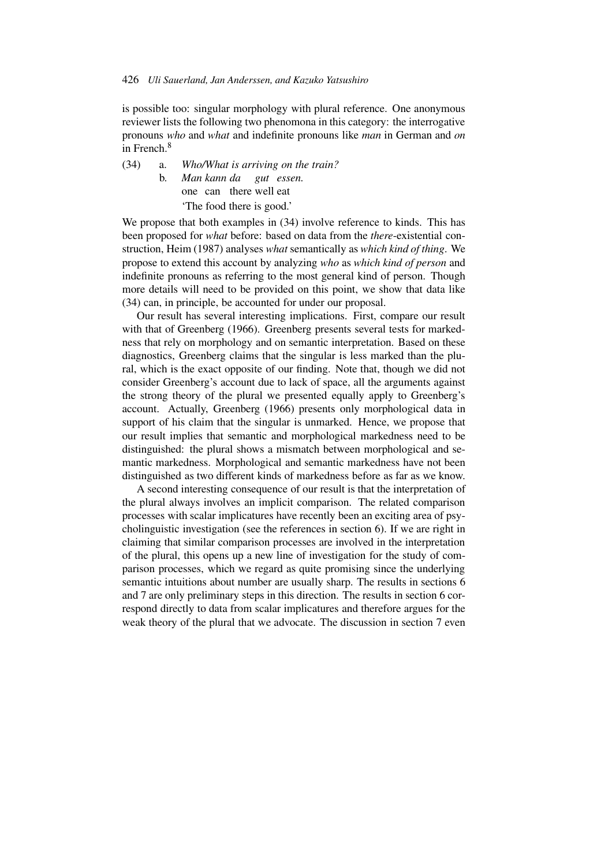is possible too: singular morphology with plural reference. One anonymous reviewer lists the following two phenomona in this category: the interrogative pronouns *who* and *what* and indefinite pronouns like *man* in German and *on* in French.<sup>8</sup>

# (34) a. *Who/What is arriving on the train?* b. *Man kann da gut essen.* one can there well eat 'The food there is good.'

We propose that both examples in (34) involve reference to kinds. This has been proposed for *what* before: based on data from the *there*-existential construction, Heim (1987) analyses *what* semantically as *which kind of thing*. We propose to extend this account by analyzing *who* as *which kind of person* and indefinite pronouns as referring to the most general kind of person. Though more details will need to be provided on this point, we show that data like (34) can, in principle, be accounted for under our proposal.

Our result has several interesting implications. First, compare our result with that of Greenberg (1966). Greenberg presents several tests for markedness that rely on morphology and on semantic interpretation. Based on these diagnostics, Greenberg claims that the singular is less marked than the plural, which is the exact opposite of our finding. Note that, though we did not consider Greenberg's account due to lack of space, all the arguments against the strong theory of the plural we presented equally apply to Greenberg's account. Actually, Greenberg (1966) presents only morphological data in support of his claim that the singular is unmarked. Hence, we propose that our result implies that semantic and morphological markedness need to be distinguished: the plural shows a mismatch between morphological and semantic markedness. Morphological and semantic markedness have not been distinguished as two different kinds of markedness before as far as we know.

A second interesting consequence of our result is that the interpretation of the plural always involves an implicit comparison. The related comparison processes with scalar implicatures have recently been an exciting area of psycholinguistic investigation (see the references in section 6). If we are right in claiming that similar comparison processes are involved in the interpretation of the plural, this opens up a new line of investigation for the study of comparison processes, which we regard as quite promising since the underlying semantic intuitions about number are usually sharp. The results in sections 6 and 7 are only preliminary steps in this direction. The results in section 6 correspond directly to data from scalar implicatures and therefore argues for the weak theory of the plural that we advocate. The discussion in section 7 even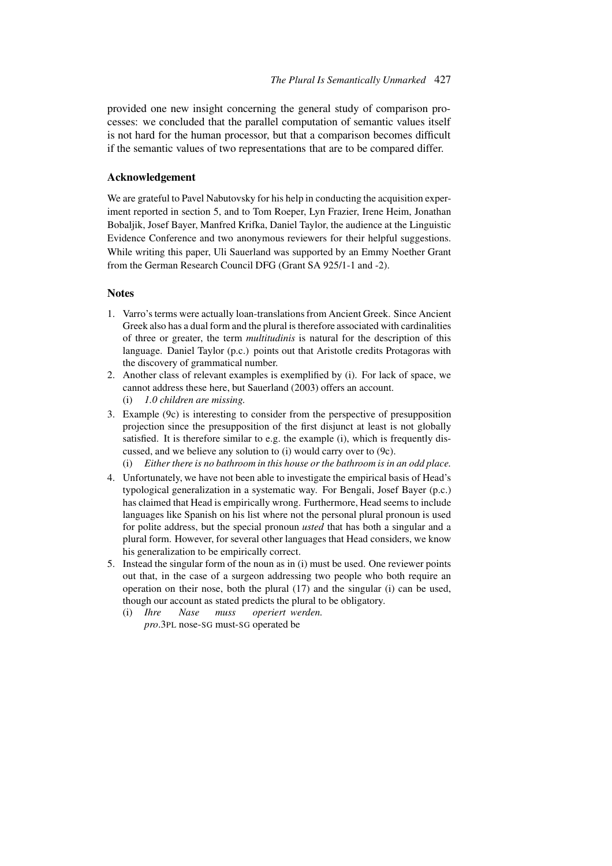provided one new insight concerning the general study of comparison processes: we concluded that the parallel computation of semantic values itself is not hard for the human processor, but that a comparison becomes difficult if the semantic values of two representations that are to be compared differ.

# **Acknowledgement**

We are grateful to Pavel Nabutovsky for his help in conducting the acquisition experiment reported in section 5, and to Tom Roeper, Lyn Frazier, Irene Heim, Jonathan Bobaljik, Josef Bayer, Manfred Krifka, Daniel Taylor, the audience at the Linguistic Evidence Conference and two anonymous reviewers for their helpful suggestions. While writing this paper, Uli Sauerland was supported by an Emmy Noether Grant from the German Research Council DFG (Grant SA 925/1-1 and -2).

### **Notes**

- 1. Varro's terms were actually loan-translationsfrom Ancient Greek. Since Ancient Greek also has a dual form and the plural is therefore associated with cardinalities of three or greater, the term *multitudinis* is natural for the description of this language. Daniel Taylor (p.c.) points out that Aristotle credits Protagoras with the discovery of grammatical number.
- 2. Another class of relevant examples is exemplified by (i). For lack of space, we cannot address these here, but Sauerland (2003) offers an account. (i) *1.0 children are missing.*
- 3. Example (9c) is interesting to consider from the perspective of presupposition projection since the presupposition of the first disjunct at least is not globally satisfied. It is therefore similar to e.g. the example (i), which is frequently discussed, and we believe any solution to (i) would carry over to (9c).
	- (i) *Either there is no bathroom in this house or the bathroom is in an odd place.*
- 4. Unfortunately, we have not been able to investigate the empirical basis of Head's typological generalization in a systematic way. For Bengali, Josef Bayer (p.c.) has claimed that Head is empirically wrong. Furthermore, Head seems to include languages like Spanish on his list where not the personal plural pronoun is used for polite address, but the special pronoun *usted* that has both a singular and a plural form. However, for several other languages that Head considers, we know his generalization to be empirically correct.
- 5. Instead the singular form of the noun as in (i) must be used. One reviewer points out that, in the case of a surgeon addressing two people who both require an operation on their nose, both the plural (17) and the singular (i) can be used, though our account as stated predicts the plural to be obligatory.
	- (i) *Ihre pro*.3PL nose-SG must-SG operated be*Nase muss operiert werden.*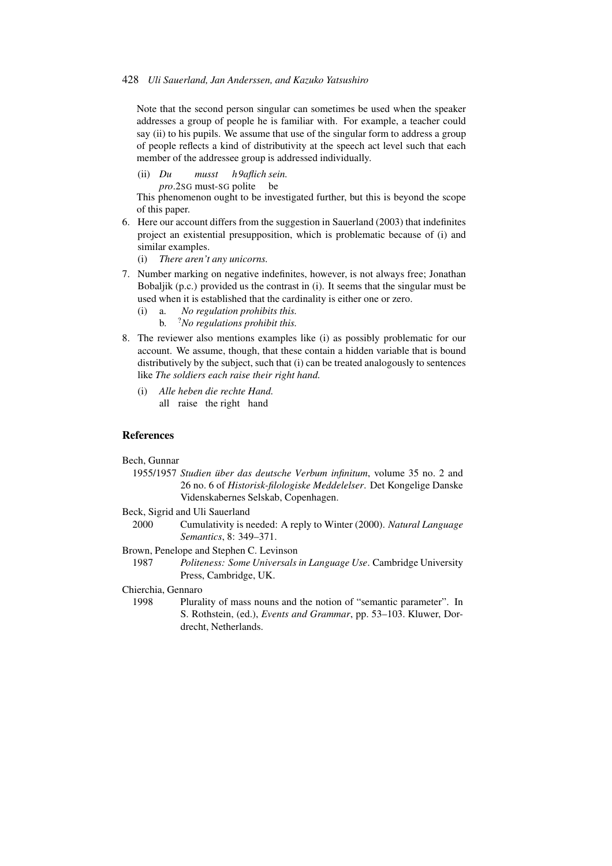Note that the second person singular can sometimes be used when the speaker addresses a group of people he is familiar with. For example, a teacher could say (ii) to his pupils. We assume that use of the singular form to address a group of people reflects a kind of distributivity at the speech act level such that each member of the addressee group is addressed individually.

(ii) *Du musst h9aflich sein.*

*pro*.2SG must-SG polite be

This phenomenon ought to be investigated further, but this is beyond the scope of this paper.

- 6. Here our account differs from the suggestion in Sauerland (2003) that indefinites project an existential presupposition, which is problematic because of (i) and similar examples.
	- (i) *There aren't any unicorns.*
- 7. Number marking on negative indefinites, however, is not always free; Jonathan Bobaljik (p.c.) provided us the contrast in (i). It seems that the singular must be used when it is established that the cardinality is either one or zero.
	- (i) a. *No regulation prohibits this.*
		- b. ?*No regulations prohibit this.*
- 8. The reviewer also mentions examples like (i) as possibly problematic for our account. We assume, though, that these contain a hidden variable that is bound distributively by the subject, such that (i) can be treated analogously to sentences like *The soldiers each raise their right hand.*
	- (i) *Alle heben die rechte Hand.* all raise the right hand

### **References**

Bech, Gunnar

1955/1957 *Studien über das deutsche Verbum infinitum*, volume 35 no. 2 and 26 no. 6 of *Historisk-filologiske Meddelelser*. Det Kongelige Danske Videnskabernes Selskab, Copenhagen.

# Beck, Sigrid and Uli Sauerland

- 2000 Cumulativity is needed: A reply to Winter (2000). *Natural Language Semantics*, 8: 349–371.
- Brown, Penelope and Stephen C. Levinson

1987 *Politeness: Some Universals in Language Use*. Cambridge University Press, Cambridge, UK.

# Chierchia, Gennaro

1998 Plurality of mass nouns and the notion of "semantic parameter". In S. Rothstein, (ed.), *Events and Grammar*, pp. 53–103. Kluwer, Dordrecht, Netherlands.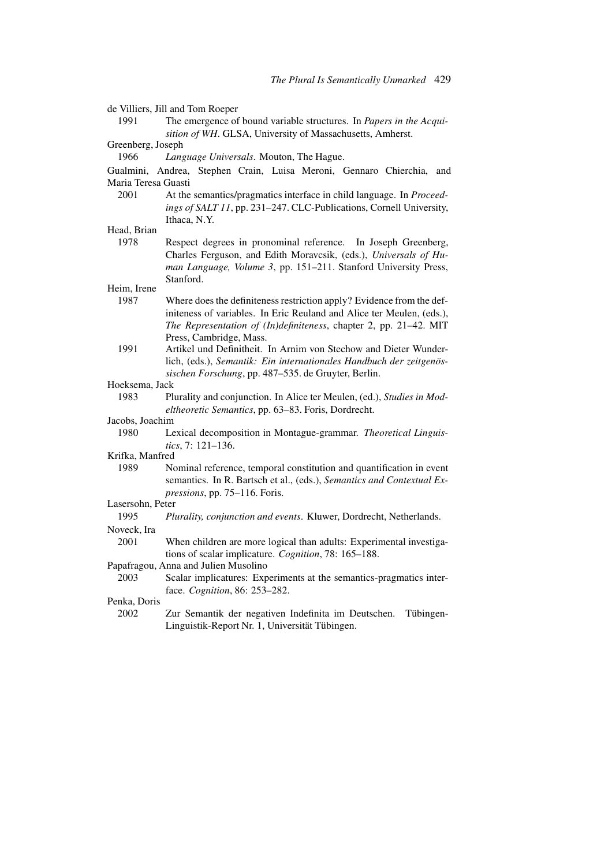|                     | de Villiers, Jill and Tom Roeper                                                                                                                                                                                                               |
|---------------------|------------------------------------------------------------------------------------------------------------------------------------------------------------------------------------------------------------------------------------------------|
| 1991                | The emergence of bound variable structures. In Papers in the Acqui-                                                                                                                                                                            |
|                     | sition of WH. GLSA, University of Massachusetts, Amherst.                                                                                                                                                                                      |
| Greenberg, Joseph   |                                                                                                                                                                                                                                                |
| 1966                | Language Universals. Mouton, The Hague.                                                                                                                                                                                                        |
| Gualmini, Andrea,   | Stephen Crain, Luisa Meroni, Gennaro Chierchia,<br>and                                                                                                                                                                                         |
| Maria Teresa Guasti |                                                                                                                                                                                                                                                |
| 2001                | At the semantics/pragmatics interface in child language. In Proceed-<br>ings of SALT 11, pp. 231-247. CLC-Publications, Cornell University,<br>Ithaca, N.Y.                                                                                    |
| Head, Brian         |                                                                                                                                                                                                                                                |
| 1978                | Respect degrees in pronominal reference. In Joseph Greenberg,<br>Charles Ferguson, and Edith Moravcsik, (eds.), Universals of Hu-<br>man Language, Volume 3, pp. 151-211. Stanford University Press,<br>Stanford.                              |
| Heim, Irene         |                                                                                                                                                                                                                                                |
| 1987                | Where does the definiteness restriction apply? Evidence from the def-<br>initeness of variables. In Eric Reuland and Alice ter Meulen, (eds.),<br>The Representation of (In)definiteness, chapter 2, pp. 21-42. MIT<br>Press, Cambridge, Mass. |
| 1991                | Artikel und Definitheit. In Arnim von Stechow and Dieter Wunder-<br>lich, (eds.), Semantik: Ein internationales Handbuch der zeitgenös-<br>sischen Forschung, pp. 487-535. de Gruyter, Berlin.                                                 |
| Hoeksema, Jack      |                                                                                                                                                                                                                                                |
| 1983                | Plurality and conjunction. In Alice ter Meulen, (ed.), Studies in Mod-                                                                                                                                                                         |
|                     | eltheoretic Semantics, pp. 63-83. Foris, Dordrecht.                                                                                                                                                                                            |
| Jacobs, Joachim     |                                                                                                                                                                                                                                                |
| 1980                | Lexical decomposition in Montague-grammar. Theoretical Linguis-<br>tics, 7: 121-136.                                                                                                                                                           |
| Krifka, Manfred     |                                                                                                                                                                                                                                                |
| 1989                | Nominal reference, temporal constitution and quantification in event<br>semantics. In R. Bartsch et al., (eds.), Semantics and Contextual Ex-<br>pressions, pp. 75–116. Foris.                                                                 |
| Lasersohn, Peter    |                                                                                                                                                                                                                                                |
| 1995                | Plurality, conjunction and events. Kluwer, Dordrecht, Netherlands.                                                                                                                                                                             |
| Noveck, Ira         |                                                                                                                                                                                                                                                |
| 2001                | When children are more logical than adults: Experimental investiga-<br>tions of scalar implicature. Cognition, 78: 165-188.                                                                                                                    |
|                     | Papafragou, Anna and Julien Musolino                                                                                                                                                                                                           |
| 2003                | Scalar implicatures: Experiments at the semantics-pragmatics inter-<br>face. Cognition, 86: 253-282.                                                                                                                                           |
| Penka, Doris        |                                                                                                                                                                                                                                                |
| 2002                | Zur Semantik der negativen Indefinita im Deutschen.<br>Tübingen-<br>Linguistik-Report Nr. 1, Universität Tübingen.                                                                                                                             |